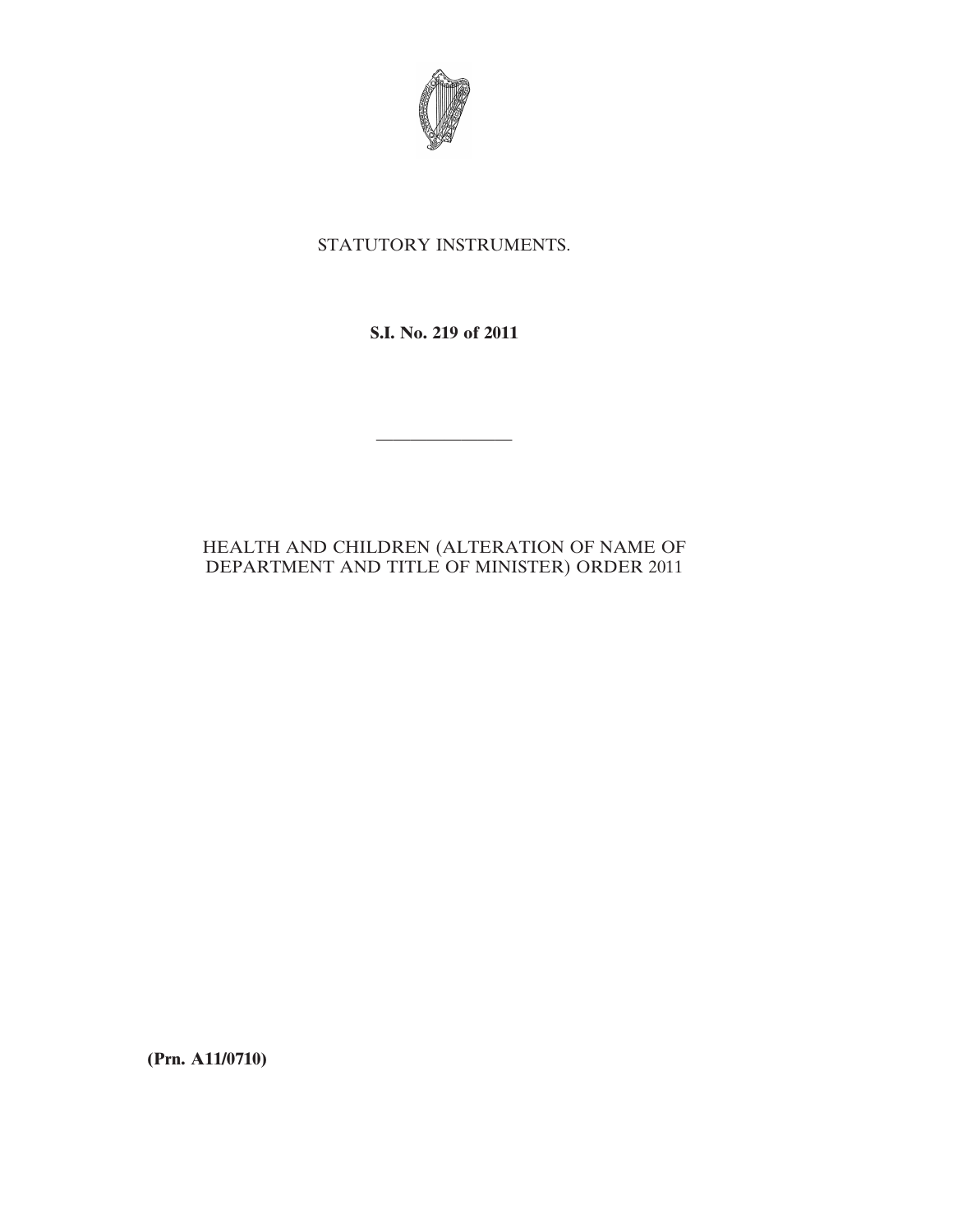

## STATUTORY INSTRUMENTS.

## **S.I. No. 219 of 2011**

————————

## HEALTH AND CHILDREN (ALTERATION OF NAME OF DEPARTMENT AND TITLE OF MINISTER) ORDER 2011

**(Prn. A11/0710)**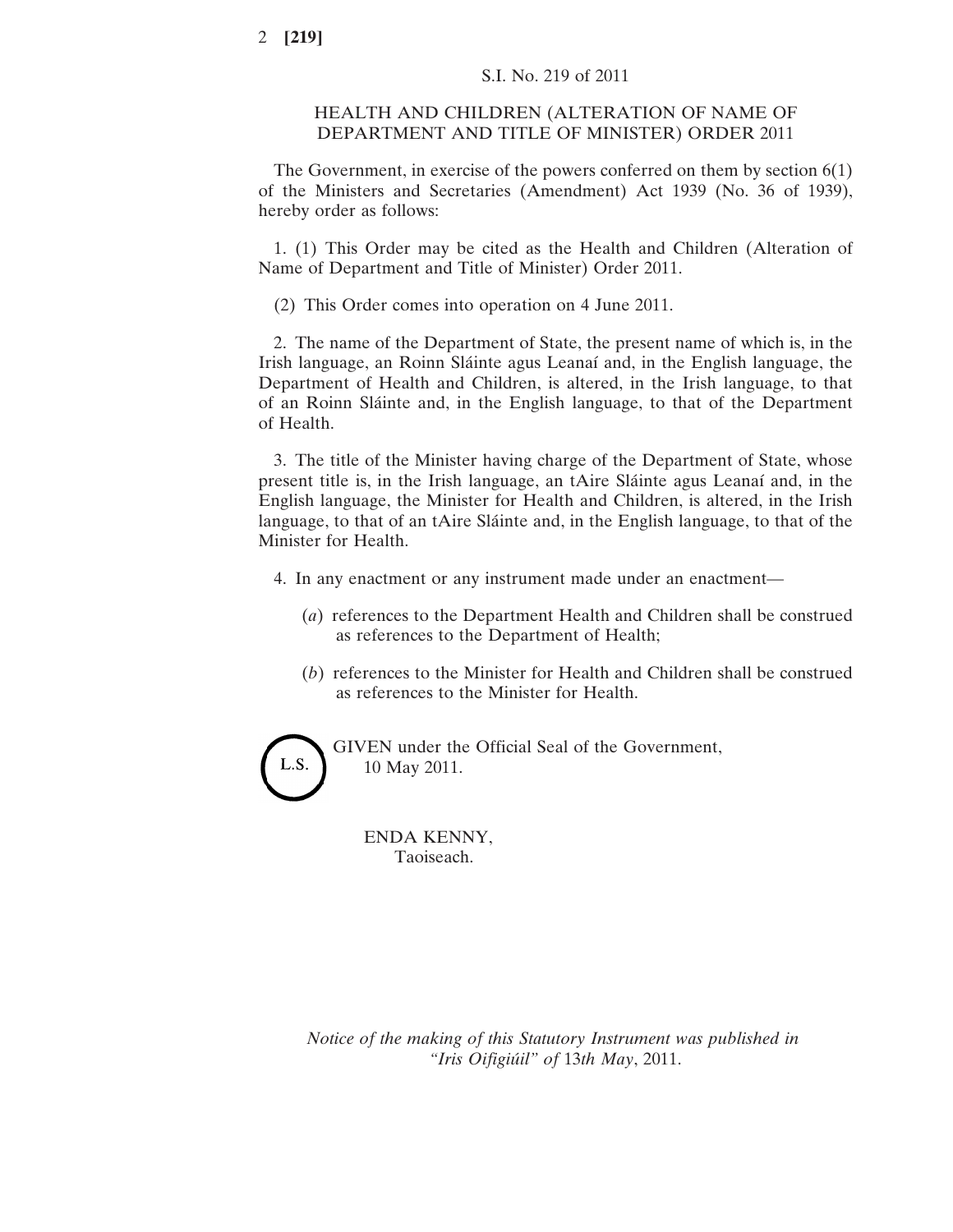## HEALTH AND CHILDREN (ALTERATION OF NAME OF DEPARTMENT AND TITLE OF MINISTER) ORDER 2011

The Government, in exercise of the powers conferred on them by section 6(1) of the Ministers and Secretaries (Amendment) Act 1939 (No. 36 of 1939), hereby order as follows:

1. (1) This Order may be cited as the Health and Children (Alteration of Name of Department and Title of Minister) Order 2011.

(2) This Order comes into operation on 4 June 2011.

2. The name of the Department of State, the present name of which is, in the Irish language, an Roinn Sláinte agus Leanaí and, in the English language, the Department of Health and Children, is altered, in the Irish language, to that of an Roinn Sláinte and, in the English language, to that of the Department of Health.

3. The title of the Minister having charge of the Department of State, whose present title is, in the Irish language, an tAire Sláinte agus Leanaí and, in the English language, the Minister for Health and Children, is altered, in the Irish language, to that of an tAire Sláinte and, in the English language, to that of the Minister for Health.

- 4. In any enactment or any instrument made under an enactment—
	- (*a*) references to the Department Health and Children shall be construed as references to the Department of Health;
	- (*b*) references to the Minister for Health and Children shall be construed as references to the Minister for Health.

GIVEN under the Official Seal of the Government, L.S. 10 May 2011.

> ENDA KENNY, Taoiseach.

*Notice of the making of this Statutory Instrument was published in "Iris Oifigiúil" of* 13*th May*, 2011.